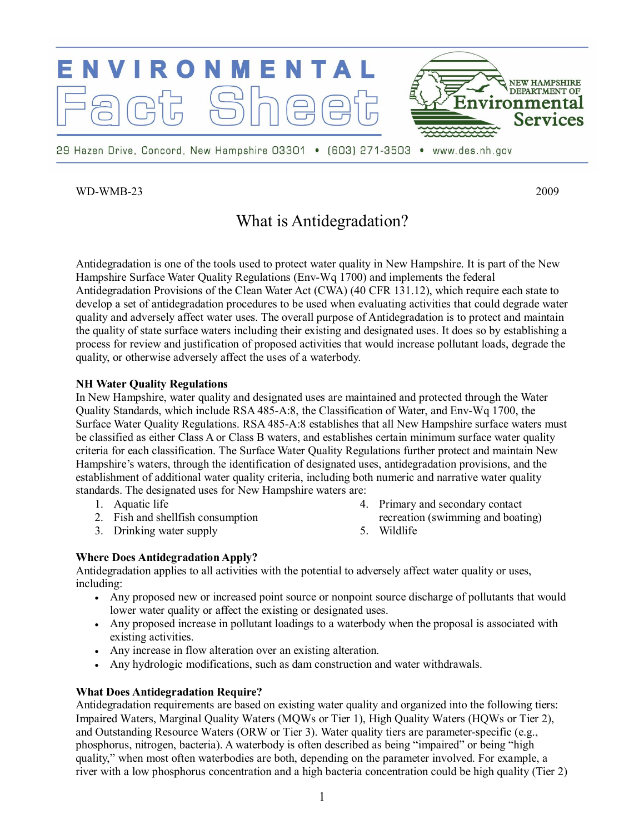

## WD-WMB-23 2009

# What is Antidegradation?

Antidegradation is one of the tools used to protect water quality in New Hampshire. It is part of the New Hampshire Surface Water Quality Regulations (Env-Wq 1700) and implements the federal Antidegradation Provisions of the Clean Water Act (CWA) (40 CFR 131.12), which require each state to develop a set of antidegradation procedures to be used when evaluating activities that could degrade water quality and adversely affect water uses. The overall purpose of Antidegradation is to protect and maintain the quality of state surface waters including their existing and designated uses. It does so by establishing a process for review and justification of proposed activities that would increase pollutant loads, degrade the quality, or otherwise adversely affect the uses of a waterbody.

## **NH Water Quality Regulations**

In New Hampshire, water quality and designated uses are maintained and protected through the Water Quality Standards, which include RSA 485-A:8, the Classification of Water, and Env-Wq 1700, the Surface Water Quality Regulations. RSA 485-A:8 establishes that all New Hampshire surface waters must be classified as either Class A or Class B waters, and establishes certain minimum surface water quality criteria for each classification. The Surface Water Quality Regulations further protect and maintain New Hampshire's waters, through the identification of designated uses, antidegradation provisions, and the establishment of additional water quality criteria, including both numeric and narrative water quality standards. The designated uses for New Hampshire waters are:

- 1. Aquatic life
- 2. Fish and shellfish consumption
- 3. Drinking water supply
- 4. Primary and secondary contact recreation (swimming and boating)
- 5. Wildlife

## **Where Does Antidegradation Apply?**

Antidegradation applies to all activities with the potential to adversely affect water quality or uses, including:

- · Any proposed new or increased point source or nonpoint source discharge of pollutants that would lower water quality or affect the existing or designated uses.
- · Any proposed increase in pollutant loadings to a waterbody when the proposal is associated with existing activities.
- · Any increase in flow alteration over an existing alteration.
- Any hydrologic modifications, such as dam construction and water withdrawals.

## **What Does Antidegradation Require?**

Antidegradation requirements are based on existing water quality and organized into the following tiers: Impaired Waters, Marginal Quality Waters (MQWs or Tier 1), High Quality Waters (HQWs or Tier 2), and Outstanding Resource Waters (ORW or Tier 3). Water quality tiers are parameter-specific (e.g., phosphorus, nitrogen, bacteria). A waterbody is often described as being "impaired" or being "high quality," when most often waterbodies are both, depending on the parameter involved. For example, a river with a low phosphorus concentration and a high bacteria concentration could be high quality (Tier 2)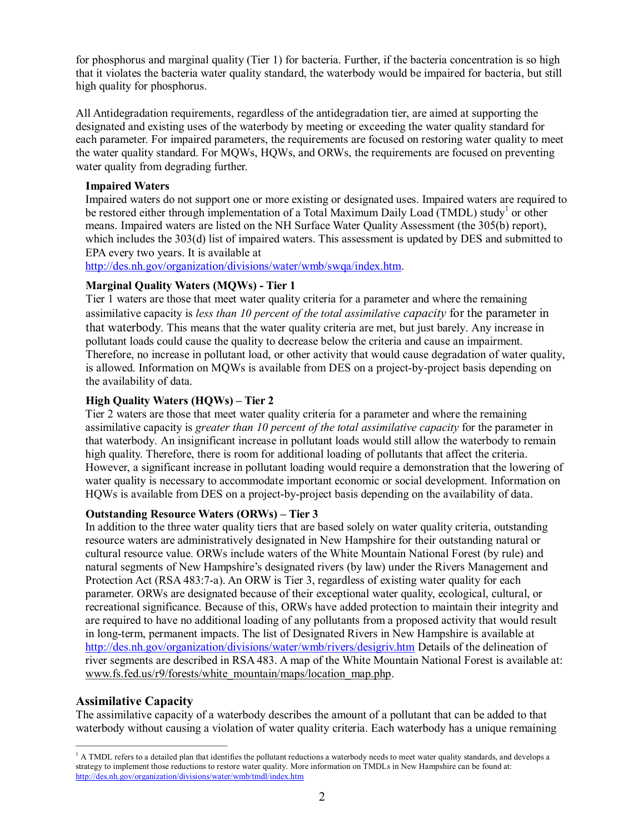for phosphorus and marginal quality (Tier 1) for bacteria. Further, if the bacteria concentration is so high that it violates the bacteria water quality standard, the waterbody would be impaired for bacteria, but still high quality for phosphorus.

All Antidegradation requirements, regardless of the antidegradation tier, are aimed at supporting the designated and existing uses of the waterbody by meeting or exceeding the water quality standard for each parameter. For impaired parameters, the requirements are focused on restoring water quality to meet the water quality standard. For MQWs, HQWs, and ORWs, the requirements are focused on preventing water quality from degrading further.

#### **Impaired Waters**

Impaired waters do not support one or more existing or designated uses. Impaired waters are required to be restored either through implementation of a Total Maximum Daily Load (TMDL) study<sup>1</sup> or other means. Impaired waters are listed on the NH Surface Water Quality Assessment (the 305(b) report), which includes the 303(d) list of impaired waters. This assessment is updated by DES and submitted to EPA every two years. It is available at

<http://des.nh.gov/organization/divisions/water/wmb/swqa/index.htm>.

## **Marginal Quality Waters (MQWs) Tier 1**

Tier 1 waters are those that meet water quality criteria for a parameter and where the remaining assimilative capacity is *less than 10 percent of the total assimilative capacity* for the parameter in that waterbody. This means that the water quality criteria are met, but just barely. Any increase in pollutant loads could cause the quality to decrease below the criteria and cause an impairment. Therefore, no increase in pollutant load, or other activity that would cause degradation of water quality, is allowed. Information on MQWs is available from DES on a project-by-project basis depending on the availability of data.

## **High Quality Waters (HQWs) – Tier 2**

Tier 2 waters are those that meet water quality criteria for a parameter and where the remaining assimilative capacity is *greater than 10 percent of the total assimilative capacity* for the parameter in that waterbody. An insignificant increase in pollutant loads would still allow the waterbody to remain high quality. Therefore, there is room for additional loading of pollutants that affect the criteria. However, a significant increase in pollutant loading would require a demonstration that the lowering of water quality is necessary to accommodate important economic or social development. Information on HQWs is available from DES on a project-by-project basis depending on the availability of data.

#### **Outstanding Resource Waters (ORWs) – Tier 3**

In addition to the three water quality tiers that are based solely on water quality criteria, outstanding resource waters are administratively designated in New Hampshire for their outstanding natural or cultural resource value. ORWs include waters of the White Mountain National Forest (by rule) and natural segments of New Hampshire's designated rivers (by law) under the Rivers Management and Protection Act (RSA 483:7-a). An ORW is Tier 3, regardless of existing water quality for each parameter. ORWs are designated because of their exceptional water quality, ecological, cultural, or recreational significance. Because of this, ORWs have added protection to maintain their integrity and are required to have no additional loading of any pollutants from a proposed activity that would result in long-term, permanent impacts. The list of Designated Rivers in New Hampshire is available at <http://des.nh.gov/organization/divisions/water/wmb/rivers/desigriv.htm> Details of the delineation of river segments are described in RSA 483. A map of the White Mountain National Forest is available at: [www.fs.fed.us/r9/forests/white\\_mountain/maps/location\\_map.php.](http://www.fs.fed.us/r9/forests/white_mountain/maps/location_map.php)

## **Assimilative Capacity**

The assimilative capacity of a waterbody describes the amount of a pollutant that can be added to that waterbody without causing a violation of water quality criteria. Each waterbody has a unique remaining

 $<sup>1</sup>$  A TMDL refers to a detailed plan that identifies the pollutant reductions a waterbody needs to meet water quality standards, and develops a</sup> strategy to implement those reductions to restore water quality. More information on TMDLs in New Hampshire can be found at: <http://des.nh.gov/organization/divisions/water/wmb/tmdl/index.htm>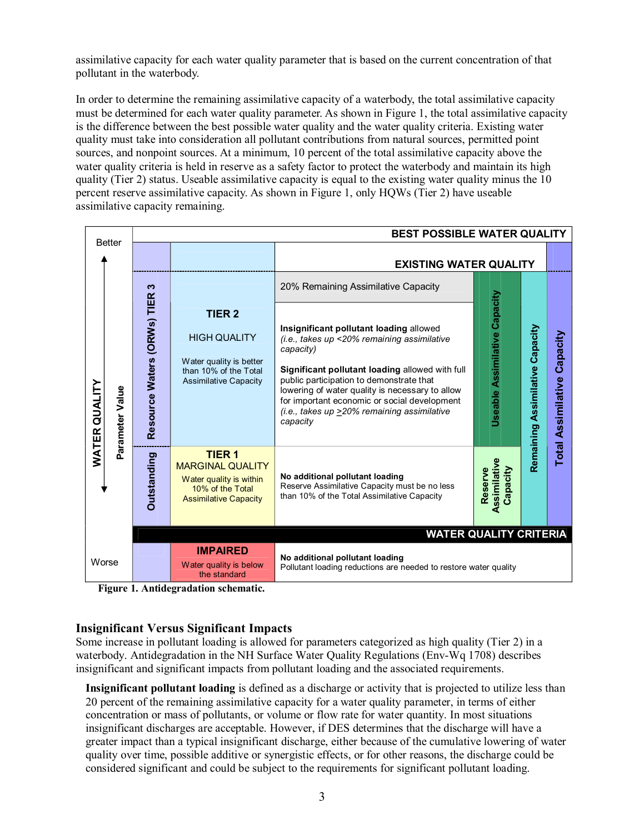assimilative capacity for each water quality parameter that is based on the current concentration of that pollutant in the waterbody.

In order to determine the remaining assimilative capacity of a waterbody, the total assimilative capacity must be determined for each water quality parameter. As shown in Figure 1, the total assimilative capacity is the difference between the best possible water quality and the water quality criteria. Existing water quality must take into consideration all pollutant contributions from natural sources, permitted point sources, and nonpoint sources. At a minimum, 10 percent of the total assimilative capacity above the water quality criteria is held in reserve as a safety factor to protect the waterbody and maintain its high quality (Tier 2) status. Useable assimilative capacity is equal to the existing water quality minus the 10 percent reserve assimilative capacity. As shown in Figure 1, only HQWs (Tier 2) have useable assimilative capacity remaining.

| <b>Better</b>        |                 | <b>BEST POSSIBLE WATER QUALITY</b> |                                                                                                                          |                                                                                                                                                                                                                                                                                                                                                                  |                                      |                                 |                                       |
|----------------------|-----------------|------------------------------------|--------------------------------------------------------------------------------------------------------------------------|------------------------------------------------------------------------------------------------------------------------------------------------------------------------------------------------------------------------------------------------------------------------------------------------------------------------------------------------------------------|--------------------------------------|---------------------------------|---------------------------------------|
|                      |                 |                                    |                                                                                                                          | <b>EXISTING WATER QUALITY</b>                                                                                                                                                                                                                                                                                                                                    |                                      |                                 |                                       |
| <b>WATER QUALITY</b> | Parameter Value | S                                  | <b>TIER 2</b><br><b>HIGH QUALITY</b><br>Water quality is better<br>than 10% of the Total<br><b>Assimilative Capacity</b> | 20% Remaining Assimilative Capacity                                                                                                                                                                                                                                                                                                                              | <b>Useable Assimilative Capacity</b> |                                 |                                       |
|                      |                 | Resource Waters (ORWs) TIER        |                                                                                                                          | Insignificant pollutant loading allowed<br>(i.e., takes up <20% remaining assimilative<br>capacity)<br>Significant pollutant loading allowed with full<br>public participation to demonstrate that<br>lowering of water quality is necessary to allow<br>for important economic or social development<br>(i.e., takes up >20% remaining assimilative<br>capacity |                                      | Remaining Assimilative Capacity | Capacity<br><b>Total Assimilative</b> |
|                      |                 | <b>Outstanding</b>                 | <b>TIER 1</b><br><b>MARGINAL QUALITY</b><br>Water quality is within<br>10% of the Total<br><b>Assimilative Capacity</b>  | No additional pollutant loading<br>Reserve Assimilative Capacity must be no less<br>than 10% of the Total Assimilative Capacity                                                                                                                                                                                                                                  | ssimilative<br>Capacity<br>Reserve   |                                 |                                       |
|                      |                 |                                    |                                                                                                                          | <b>WATER QUALITY CRITERIA</b>                                                                                                                                                                                                                                                                                                                                    |                                      |                                 |                                       |
| Worse                |                 |                                    | <b>IMPAIRED</b><br>Water quality is below<br>the standard                                                                | No additional pollutant loading<br>Pollutant loading reductions are needed to restore water quality                                                                                                                                                                                                                                                              |                                      |                                 |                                       |

**Figure 1. Antidegradation schematic.**

## **Insignificant Versus Significant Impacts**

Some increase in pollutant loading is allowed for parameters categorized as high quality (Tier 2) in a waterbody. Antidegradation in the NH Surface Water Quality Regulations (Env-Wq 1708) describes insignificant and significant impacts from pollutant loading and the associated requirements.

**Insignificant pollutant loading** is defined as a discharge or activity that is projected to utilize less than 20 percent of the remaining assimilative capacity for a water quality parameter, in terms of either concentration or mass of pollutants, or volume or flow rate for water quantity. In most situations insignificant discharges are acceptable. However, if DES determines that the discharge will have a greater impact than a typical insignificant discharge, either because of the cumulative lowering of water quality over time, possible additive or synergistic effects, or for other reasons, the discharge could be considered significant and could be subject to the requirements for significant pollutant loading.